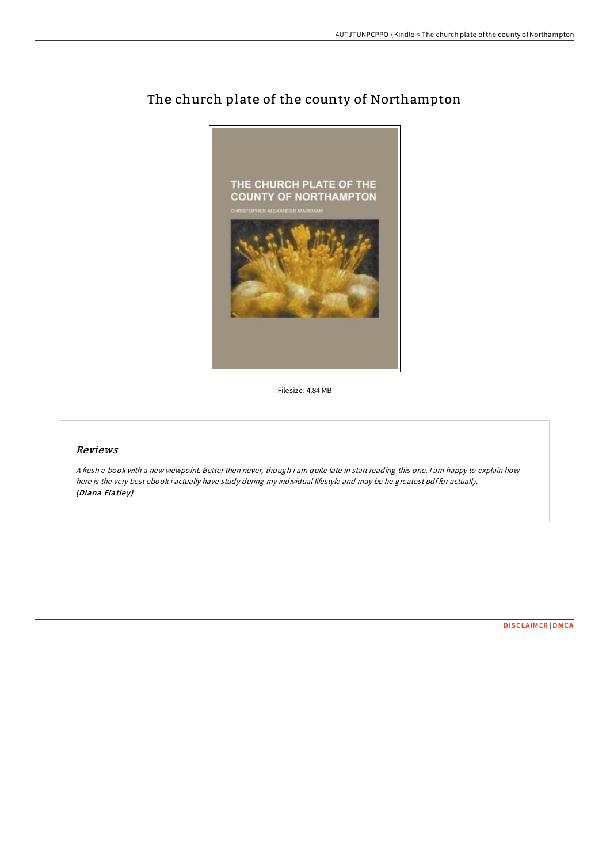

# The church plate of the county of Northampton

Filesize: 4.84 MB

# Reviews

<sup>A</sup> fresh e-book with <sup>a</sup> new viewpoint. Better then never, though i am quite late in start reading this one. <sup>I</sup> am happy to explain how here is the very best ebook i actually have study during my individual lifestyle and may be he greatest pdf for actually. (Diana Flatley)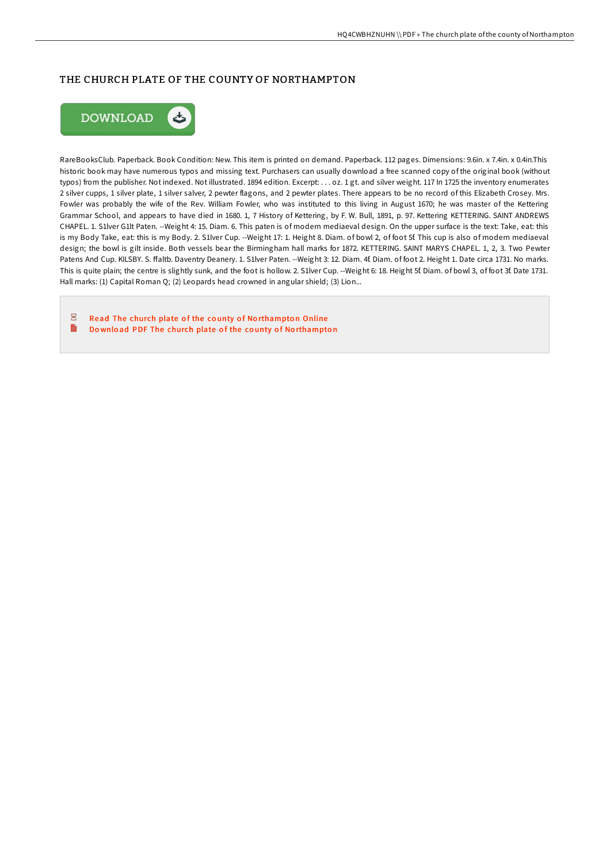## THE CHURCH PLATE OF THE COUNTY OF NORTHAMPTON



RareBooksClub. Paperback. Book Condition: New. This item is printed on demand. Paperback. 112 pages. Dimensions: 9.6in. x 7.4in. x 0.4in.This historic book may have numerous typos and missing text. Purchasers can usually download a free scanned copy of the original book (without typos) from the publisher. Not indexed. Not illustrated. 1894 edition. Excerpt: . . . oz. 1 gt. and silver weight. 117 In 1725 the inventory enumerates 2 silver cupps, 1 silver plate, 1 silver salver, 2 pewter flagons, and 2 pewter plates. There appears to be no record of this Elizabeth Crosey. Mrs. Fowler was probably the wife of the Rev. William Fowler, who was instituted to this living in August 1670; he was master of the Kettering Grammar School, and appears to have died in 1680. 1, 7 History of Kettering, by F. W. Bull, 1891, p. 97. Kettering KETTERING. SAINT ANDREWS CHAPEL. 1. S1lver G1lt Paten. --Weight 4: 15. Diam. 6. This paten is of modern mediaeval design. On the upper surface is the text: Take, eat: this is my Body Take, eat: this is my Body. 2. S1lver Cup. --Weight 17: 1. Height 8. Diam. of bowl 2, of foot 5f. This cup is also of modern mediaeval design; the bowl is gilt inside. Both vessels bear the Birmingham hall marks for 1872. KETTERING. SAINT MARYS CHAPEL. 1, 2, 3. Two Pewter Patens And Cup. KILSBY. S. Haltb. Daventry Deanery. 1. S1lver Paten. --Weight 3: 12. Diam. 4f. Diam. of foot 2. Height 1. Date circa 1731. No marks. This is quite plain; the centre is slightly sunk, and the foot is hollow. 2. S1lver Cup. --Weight 6: 18. Height 5f. Diam. of bowl 3, of foot 3f. Date 1731. Hall marks: (1) Capital Roman Q; (2) Leopards head crowned in angular shield; (3) Lion...

 $\overline{\text{pos}}$ Read The church plate of the county of No[rthampto](http://almighty24.tech/the-church-plate-of-the-county-of-northampton.html)n Online  $\blacksquare$ Download PDF The church plate of the county of No[rthampto](http://almighty24.tech/the-church-plate-of-the-county-of-northampton.html)n